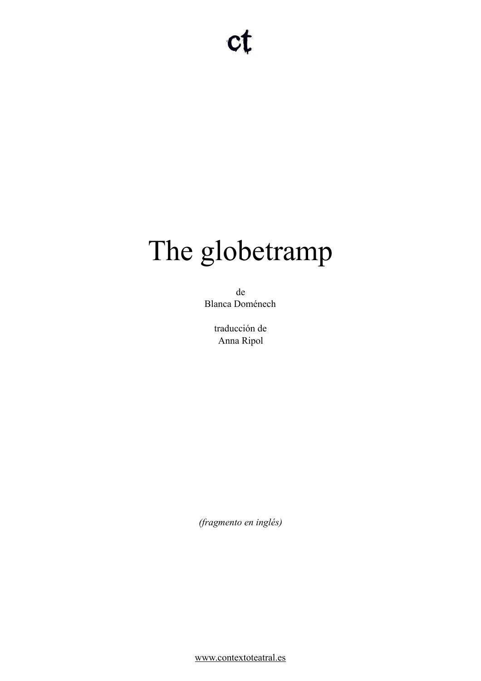# The globetramp

de Blanca Doménech

> traducción de Anna Ripol

*(fragmento en inglés)* 

[www.contextoteatral.es](http://www.contextoteatral.es)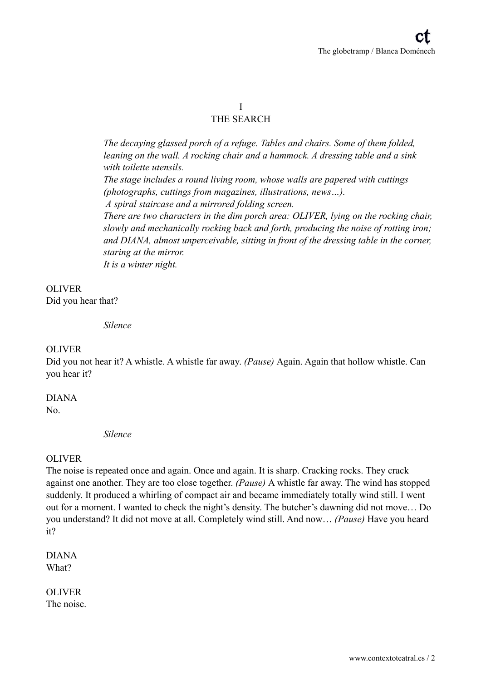#### I THE SEARCH

*The decaying glassed porch of a refuge. Tables and chairs. Some of them folded, leaning on the wall. A rocking chair and a hammock. A dressing table and a sink with toilette utensils. The stage includes a round living room, whose walls are papered with cuttings (photographs, cuttings from magazines, illustrations, news…). A spiral staircase and a mirrored folding screen. There are two characters in the dim porch area: OLIVER, lying on the rocking chair, slowly and mechanically rocking back and forth, producing the noise of rotting iron; and DIANA, almost unperceivable, sitting in front of the dressing table in the corner, staring at the mirror.* 

*It is a winter night.* 

OLIVER Did you hear that?

*Silence* 

#### OLIVER

Did you not hear it? A whistle. A whistle far away. *(Pause)* Again. Again that hollow whistle. Can you hear it?

#### DIANA

No.

*Silence* 

#### OLIVER

The noise is repeated once and again. Once and again. It is sharp. Cracking rocks. They crack against one another. They are too close together. *(Pause)* A whistle far away. The wind has stopped suddenly. It produced a whirling of compact air and became immediately totally wind still. I went out for a moment. I wanted to check the night's density. The butcher's dawning did not move… Do you understand? It did not move at all. Completely wind still. And now… *(Pause)* Have you heard it?

DIANA What?

OLIVER The noise.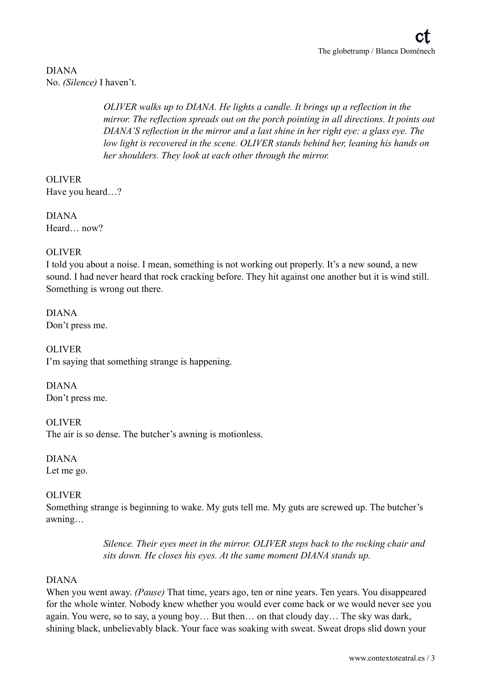#### DIANA No. *(Silence)* I haven't.

*OLIVER walks up to DIANA. He lights a candle. It brings up a reflection in the mirror. The reflection spreads out on the porch pointing in all directions. It points out DIANA'S reflection in the mirror and a last shine in her right eye: a glass eye. The low light is recovered in the scene. OLIVER stands behind her, leaning his hands on her shoulders. They look at each other through the mirror.* 

OLIVER Have you heard…?

DIANA Heard now?

#### **OLIVER**

I told you about a noise. I mean, something is not working out properly. It's a new sound, a new sound. I had never heard that rock cracking before. They hit against one another but it is wind still. Something is wrong out there.

DIANA Don't press me.

OLIVER I'm saying that something strange is happening.

DIANA Don't press me.

OLIVER The air is so dense. The butcher's awning is motionless.

DIANA Let me go.

#### OLIVER

Something strange is beginning to wake. My guts tell me. My guts are screwed up. The butcher's awning…

> *Silence. Their eyes meet in the mirror. OLIVER steps back to the rocking chair and sits down. He closes his eyes. At the same moment DIANA stands up.*

#### DIANA

When you went away. *(Pause)* That time, years ago, ten or nine years. Ten years. You disappeared for the whole winter. Nobody knew whether you would ever come back or we would never see you again. You were, so to say, a young boy… But then… on that cloudy day… The sky was dark, shining black, unbelievably black. Your face was soaking with sweat. Sweat drops slid down your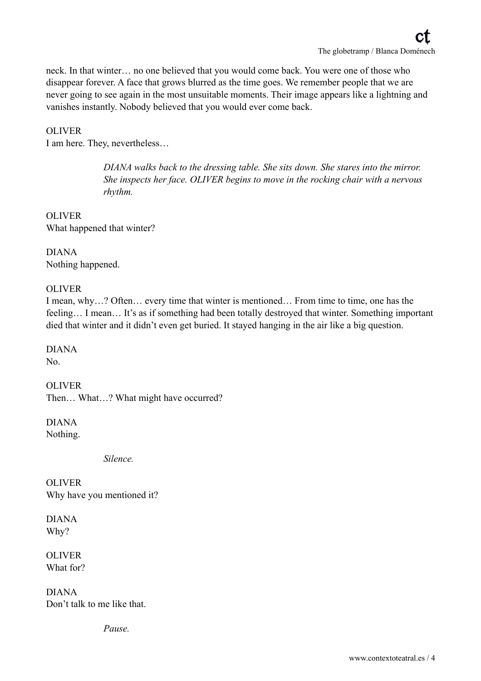neck. In that winter… no one believed that you would come back. You were one of those who disappear forever. A face that grows blurred as the time goes. We remember people that we are never going to see again in the most unsuitable moments. Their image appears like a lightning and vanishes instantly. Nobody believed that you would ever come back.

#### OLIVER

I am here. They, nevertheless…

*DIANA walks back to the dressing table. She sits down. She stares into the mirror. She inspects her face. OLIVER begins to move in the rocking chair with a nervous rhythm.* 

OLIVER What happened that winter?

DIANA Nothing happened.

#### OLIVER

I mean, why…? Often… every time that winter is mentioned… From time to time, one has the feeling... I mean... It's as if something had been totally destroyed that winter. Something important died that winter and it didn't even get buried. It stayed hanging in the air like a big question.

DIANA No.

**OLIVER** Then… What…? What might have occurred?

DIANA Nothing.

*Silence.* 

OLIVER Why have you mentioned it?

DIANA Why?

**OLIVER** What for?

DIANA Don't talk to me like that.

*Pause.*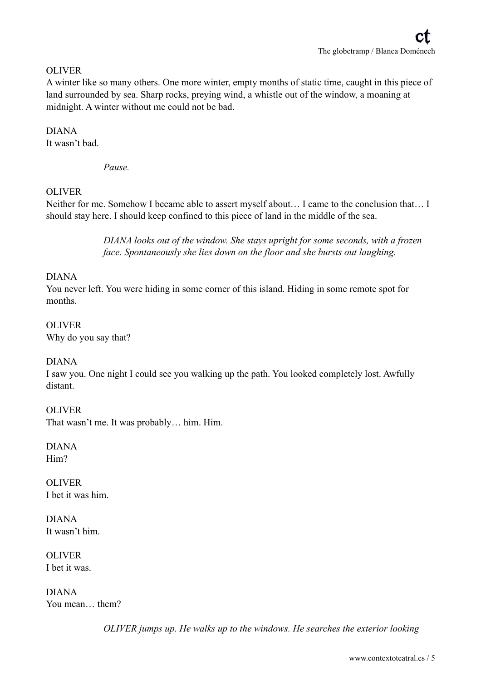#### **OLIVER**

A winter like so many others. One more winter, empty months of static time, caught in this piece of land surrounded by sea. Sharp rocks, preying wind, a whistle out of the window, a moaning at midnight. A winter without me could not be bad.

#### DIANA

It wasn't bad.

*Pause.* 

#### OLIVER

Neither for me. Somehow I became able to assert myself about… I came to the conclusion that… I should stay here. I should keep confined to this piece of land in the middle of the sea.

> *DIANA looks out of the window. She stays upright for some seconds, with a frozen face. Spontaneously she lies down on the floor and she bursts out laughing.*

#### DIANA

You never left. You were hiding in some corner of this island. Hiding in some remote spot for months.

OLIVER Why do you say that?

#### DIANA

I saw you. One night I could see you walking up the path. You looked completely lost. Awfully distant.

#### OLIVER

That wasn't me. It was probably… him. Him.

DIANA Him?

OLIVER I bet it was him.

DIANA It wasn't him.

OLIVER I bet it was.

DIANA You mean… them?

*OLIVER jumps up. He walks up to the windows. He searches the exterior looking*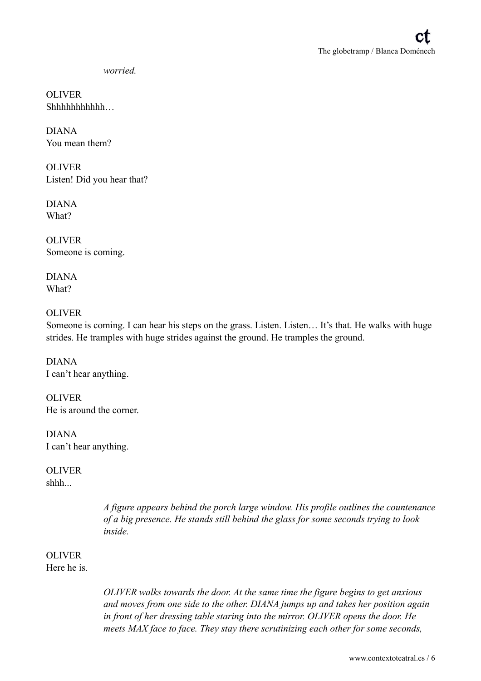*worried.* 

**OLIVER** Shhhhhhhhhhh…

DIANA You mean them?

**OLIVER** Listen! Did you hear that?

DIANA What?

**OLIVER** Someone is coming.

DIANA What?

#### OLIVER

Someone is coming. I can hear his steps on the grass. Listen. Listen... It's that. He walks with huge strides. He tramples with huge strides against the ground. He tramples the ground.

DIANA I can't hear anything.

OLIVER He is around the corner.

DIANA I can't hear anything.

# OLIVER

shhh...

*A figure appears behind the porch large window. His profile outlines the countenance of a big presence. He stands still behind the glass for some seconds trying to look inside.* 

# OLIVER

Here he is.

*OLIVER walks towards the door. At the same time the figure begins to get anxious and moves from one side to the other. DIANA jumps up and takes her position again in front of her dressing table staring into the mirror. OLIVER opens the door. He meets MAX face to face. They stay there scrutinizing each other for some seconds,*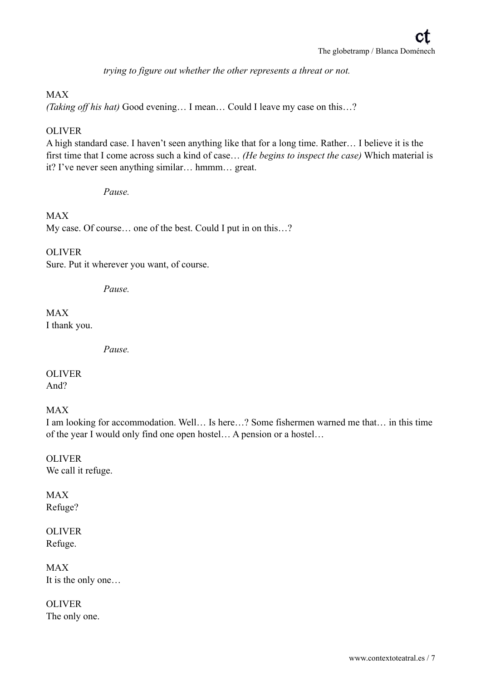*trying to figure out whether the other represents a threat or not.* 

#### MAX

*(Taking off his hat)* Good evening… I mean… Could I leave my case on this…?

#### OLIVER

A high standard case. I haven't seen anything like that for a long time. Rather… I believe it is the first time that I come across such a kind of case… *(He begins to inspect the case)* Which material is it? I've never seen anything similar… hmmm… great.

*Pause.* 

MAX My case. Of course… one of the best. Could I put in on this…?

**OLIVER** Sure. Put it wherever you want, of course.

*Pause.* 

MAX I thank you.

*Pause.* 

OLIVER And?

MAX

I am looking for accommodation. Well… Is here…? Some fishermen warned me that… in this time of the year I would only find one open hostel… A pension or a hostel…

**OLIVER** We call it refuge.

MAX Refuge?

OLIVER Refuge.

MAX It is the only one…

OLIVER The only one.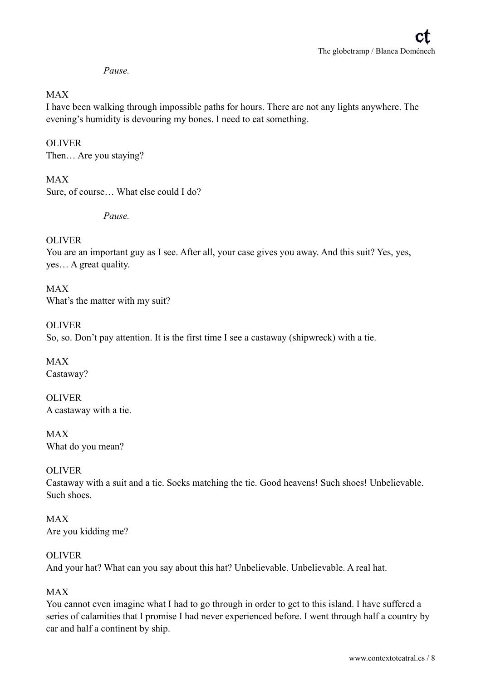#### *Pause.*

#### MAX

I have been walking through impossible paths for hours. There are not any lights anywhere. The evening's humidity is devouring my bones. I need to eat something.

#### **OLIVER**

Then… Are you staying?

#### MAX Sure, of course… What else could I do?

*Pause.* 

#### **OLIVER**

You are an important guy as I see. After all, your case gives you away. And this suit? Yes, yes, yes… A great quality.

MAX What's the matter with my suit?

### OLIVER So, so. Don't pay attention. It is the first time I see a castaway (shipwreck) with a tie.

MAX Castaway?

OLIVER A castaway with a tie.

MAX What do you mean?

#### OLIVER

Castaway with a suit and a tie. Socks matching the tie. Good heavens! Such shoes! Unbelievable. Such shoes.

MAX Are you kidding me?

#### OLIVER

And your hat? What can you say about this hat? Unbelievable. Unbelievable. A real hat.

#### MAX

You cannot even imagine what I had to go through in order to get to this island. I have suffered a series of calamities that I promise I had never experienced before. I went through half a country by car and half a continent by ship.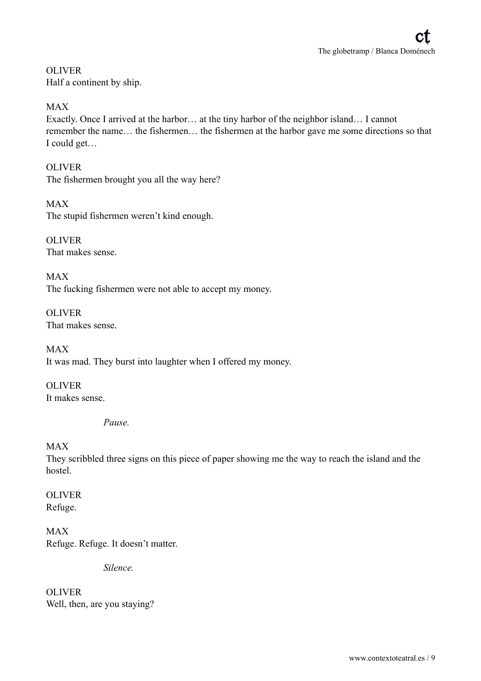**OLIVER** Half a continent by ship.

#### MAX

Exactly. Once I arrived at the harbor… at the tiny harbor of the neighbor island… I cannot remember the name… the fishermen… the fishermen at the harbor gave me some directions so that I could get…

OLIVER The fishermen brought you all the way here?

MAX The stupid fishermen weren't kind enough.

**OLIVER** That makes sense.

MAX The fucking fishermen were not able to accept my money.

**OLIVER** That makes sense.

MAX It was mad. They burst into laughter when I offered my money.

**OLIVER** It makes sense.

*Pause.* 

#### MAX

They scribbled three signs on this piece of paper showing me the way to reach the island and the hostel.

OLIVER Refuge.

MAX Refuge. Refuge. It doesn't matter.

*Silence.* 

OLIVER Well, then, are you staying?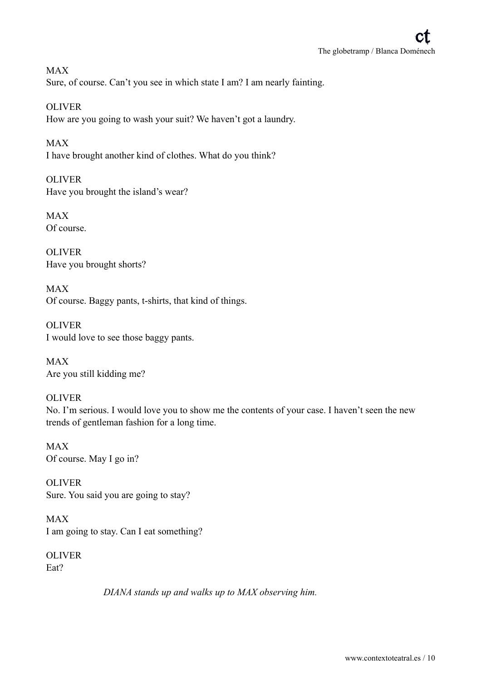MAX Sure, of course. Can't you see in which state I am? I am nearly fainting.

OLIVER How are you going to wash your suit? We haven't got a laundry.

MAX I have brought another kind of clothes. What do you think?

OLIVER Have you brought the island's wear?

MAX Of course.

**OLIVER** Have you brought shorts?

MAX Of course. Baggy pants, t-shirts, that kind of things.

OLIVER I would love to see those baggy pants.

MAX Are you still kidding me?

OLIVER

No. I'm serious. I would love you to show me the contents of your case. I haven't seen the new trends of gentleman fashion for a long time.

MAX Of course. May I go in?

OLIVER Sure. You said you are going to stay?

MAX I am going to stay. Can I eat something?

OLIVER Eat?

*DIANA stands up and walks up to MAX observing him.*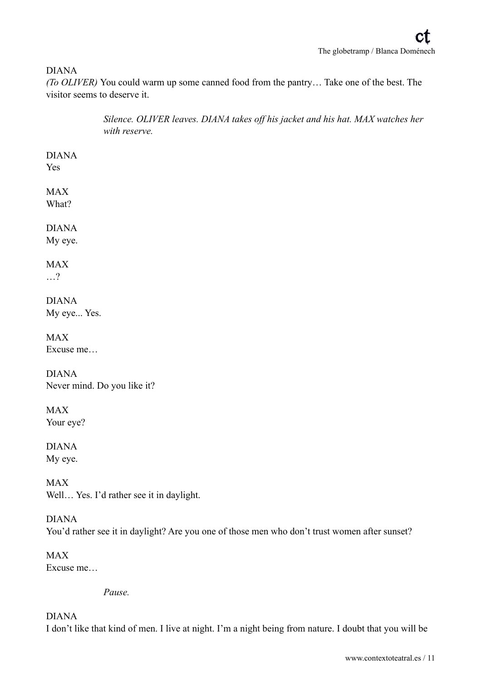#### DIANA

*(To OLIVER)* You could warm up some canned food from the pantry… Take one of the best. The visitor seems to deserve it.

> *Silence. OLIVER leaves. DIANA takes off his jacket and his hat. MAX watches her with reserve.*

## DIANA

Yes

#### MAX What?

# DIANA

My eye.

# MAX

…?

DIANA My eye... Yes.

MAX Excuse me…

DIANA Never mind. Do you like it?

MAX Your eye?

DIANA My eye.

MAX Well... Yes. I'd rather see it in daylight.

DIANA You'd rather see it in daylight? Are you one of those men who don't trust women after sunset?

MAX Excuse me…

*Pause.* 

#### DIANA

I don't like that kind of men. I live at night. I'm a night being from nature. I doubt that you will be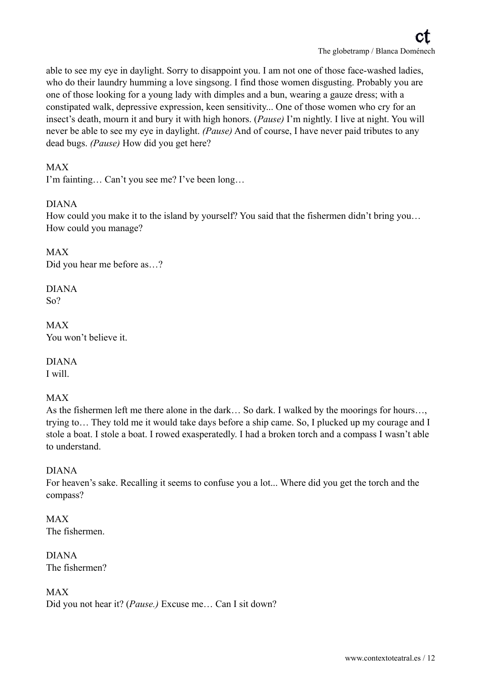able to see my eye in daylight. Sorry to disappoint you. I am not one of those face-washed ladies, who do their laundry humming a love singsong. I find those women disgusting. Probably you are one of those looking for a young lady with dimples and a bun, wearing a gauze dress; with a constipated walk, depressive expression, keen sensitivity... One of those women who cry for an insect's death, mourn it and bury it with high honors. (*Pause)* I'm nightly. I live at night. You will never be able to see my eye in daylight. *(Pause)* And of course, I have never paid tributes to any dead bugs. *(Pause)* How did you get here?

#### MAX

I'm fainting… Can't you see me? I've been long…

#### DIANA

How could you make it to the island by yourself? You said that the fishermen didn't bring you... How could you manage?

MAX Did you hear me before as…?

DIANA So?

MAX You won't believe it.

DIANA I will.

#### MAX

As the fishermen left me there alone in the dark… So dark. I walked by the moorings for hours…, trying to… They told me it would take days before a ship came. So, I plucked up my courage and I stole a boat. I stole a boat. I rowed exasperatedly. I had a broken torch and a compass I wasn't able to understand.

#### DIANA

For heaven's sake. Recalling it seems to confuse you a lot... Where did you get the torch and the compass?

MAX The fishermen.

DIANA The fishermen?

MAX Did you not hear it? (*Pause.)* Excuse me… Can I sit down?